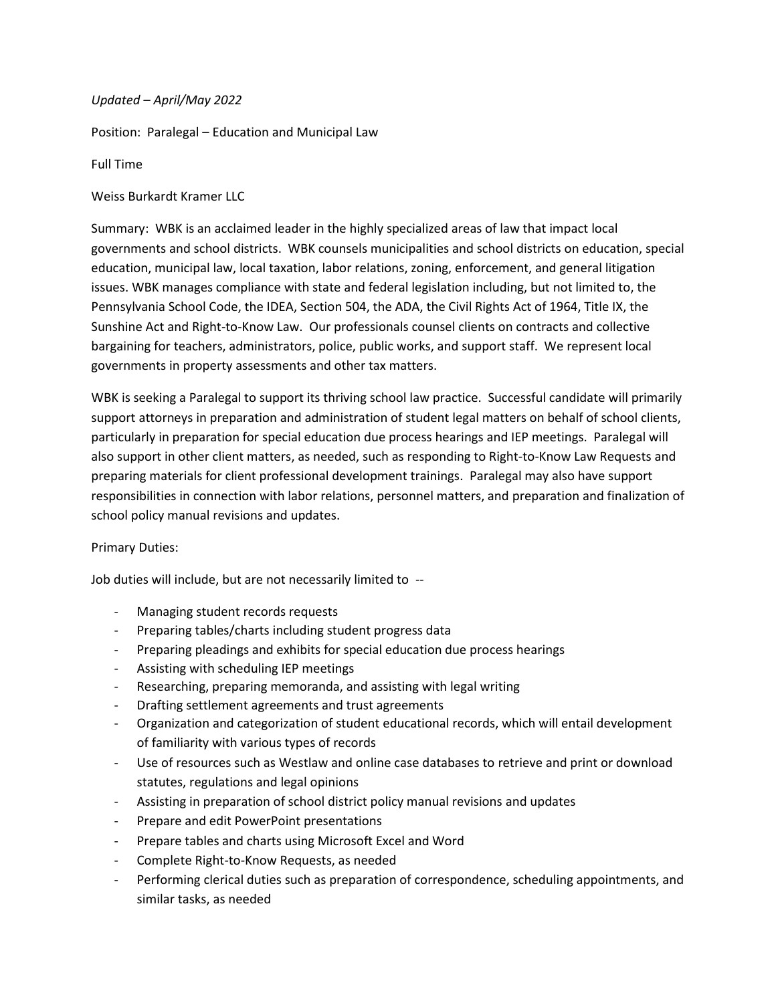## *Updated – April/May 2022*

Position: Paralegal – Education and Municipal Law

Full Time

Weiss Burkardt Kramer LLC

Summary: WBK is an acclaimed leader in the highly specialized areas of law that impact local governments and school districts. WBK counsels municipalities and school districts on education, special education, municipal law, local taxation, labor relations, zoning, enforcement, and general litigation issues. WBK manages compliance with state and federal legislation including, but not limited to, the Pennsylvania School Code, the IDEA, Section 504, the ADA, the Civil Rights Act of 1964, Title IX, the Sunshine Act and Right-to-Know Law. Our professionals counsel clients on contracts and collective bargaining for teachers, administrators, police, public works, and support staff. We represent local governments in property assessments and other tax matters.

WBK is seeking a Paralegal to support its thriving school law practice. Successful candidate will primarily support attorneys in preparation and administration of student legal matters on behalf of school clients, particularly in preparation for special education due process hearings and IEP meetings. Paralegal will also support in other client matters, as needed, such as responding to Right-to-Know Law Requests and preparing materials for client professional development trainings. Paralegal may also have support responsibilities in connection with labor relations, personnel matters, and preparation and finalization of school policy manual revisions and updates.

## Primary Duties:

Job duties will include, but are not necessarily limited to --

- Managing student records requests
- Preparing tables/charts including student progress data
- Preparing pleadings and exhibits for special education due process hearings
- Assisting with scheduling IEP meetings
- Researching, preparing memoranda, and assisting with legal writing
- Drafting settlement agreements and trust agreements
- Organization and categorization of student educational records, which will entail development of familiarity with various types of records
- Use of resources such as Westlaw and online case databases to retrieve and print or download statutes, regulations and legal opinions
- Assisting in preparation of school district policy manual revisions and updates
- Prepare and edit PowerPoint presentations
- Prepare tables and charts using Microsoft Excel and Word
- Complete Right-to-Know Requests, as needed
- Performing clerical duties such as preparation of correspondence, scheduling appointments, and similar tasks, as needed